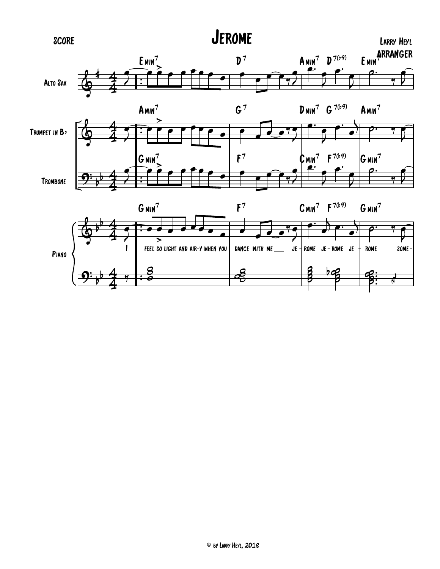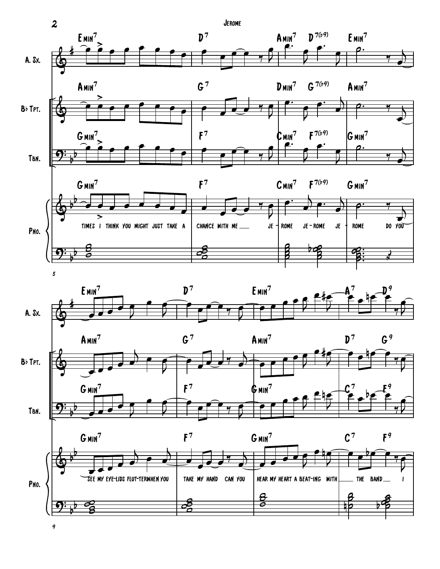

9